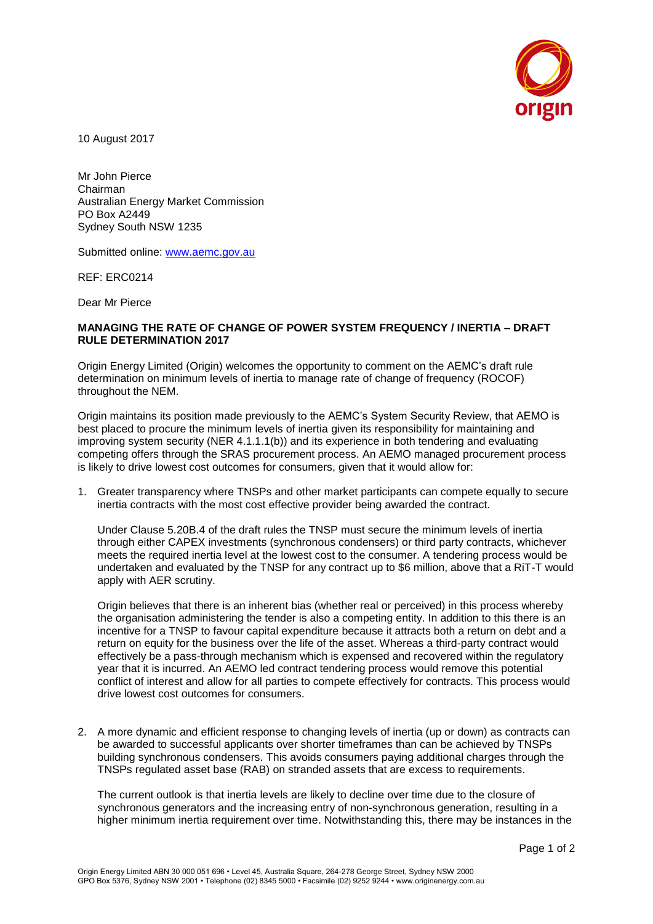

10 August 2017

Mr John Pierce Chairman Australian Energy Market Commission PO Box A2449 Sydney South NSW 1235

Submitted online: [www.aemc.gov.au](http://www.aemc.gov.au/)

REF: ERC0214

Dear Mr Pierce

## **MANAGING THE RATE OF CHANGE OF POWER SYSTEM FREQUENCY / INERTIA – DRAFT RULE DETERMINATION 2017**

Origin Energy Limited (Origin) welcomes the opportunity to comment on the AEMC's draft rule determination on minimum levels of inertia to manage rate of change of frequency (ROCOF) throughout the NEM.

Origin maintains its position made previously to the AEMC's System Security Review, that AEMO is best placed to procure the minimum levels of inertia given its responsibility for maintaining and improving system security (NER 4.1.1.1(b)) and its experience in both tendering and evaluating competing offers through the SRAS procurement process. An AEMO managed procurement process is likely to drive lowest cost outcomes for consumers, given that it would allow for:

1. Greater transparency where TNSPs and other market participants can compete equally to secure inertia contracts with the most cost effective provider being awarded the contract.

Under Clause 5.20B.4 of the draft rules the TNSP must secure the minimum levels of inertia through either CAPEX investments (synchronous condensers) or third party contracts, whichever meets the required inertia level at the lowest cost to the consumer. A tendering process would be undertaken and evaluated by the TNSP for any contract up to \$6 million, above that a RiT-T would apply with AER scrutiny.

Origin believes that there is an inherent bias (whether real or perceived) in this process whereby the organisation administering the tender is also a competing entity. In addition to this there is an incentive for a TNSP to favour capital expenditure because it attracts both a return on debt and a return on equity for the business over the life of the asset. Whereas a third-party contract would effectively be a pass-through mechanism which is expensed and recovered within the regulatory year that it is incurred. An AEMO led contract tendering process would remove this potential conflict of interest and allow for all parties to compete effectively for contracts. This process would drive lowest cost outcomes for consumers.

2. A more dynamic and efficient response to changing levels of inertia (up or down) as contracts can be awarded to successful applicants over shorter timeframes than can be achieved by TNSPs building synchronous condensers. This avoids consumers paying additional charges through the TNSPs regulated asset base (RAB) on stranded assets that are excess to requirements.

The current outlook is that inertia levels are likely to decline over time due to the closure of synchronous generators and the increasing entry of non-synchronous generation, resulting in a higher minimum inertia requirement over time. Notwithstanding this, there may be instances in the